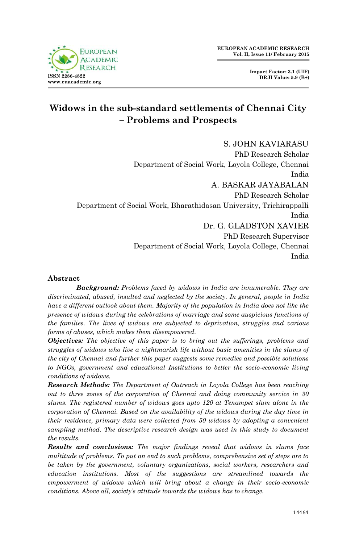

# **Widows in the sub-standard settlements of Chennai City – Problems and Prospects**

S. JOHN KAVIARASU PhD Research Scholar Department of Social Work, Loyola College, Chennai India A. BASKAR JAYABALAN PhD Research Scholar Department of Social Work, Bharathidasan University, Trichirappalli India Dr. G. GLADSTON XAVIER PhD Research Supervisor Department of Social Work, Loyola College, Chennai India

# **Abstract**

*Background: Problems faced by widows in India are innumerable. They are discriminated, abused, insulted and neglected by the society. In general, people in India have a different outlook about them. Majority of the population in India does not like the presence of widows during the celebrations of marriage and some auspicious functions of the families. The lives of widows are subjected to deprivation, struggles and various forms of abuses, which makes them disempowered.*

*Objectives: The objective of this paper is to bring out the sufferings, problems and struggles of widows who live a nightmarish life without basic amenities in the slums of the city of Chennai and further this paper suggests some remedies and possible solutions to NGOs, government and educational Institutions to better the socio-economic living conditions of widows.* 

*Research Methods: The Department of Outreach in Loyola College has been reaching out to three zones of the corporation of Chennai and doing community service in 30 slums. The registered number of widows goes upto 120 at Tenampet slum alone in the corporation of Chennai. Based on the availability of the widows during the day time in their residence, primary data were collected from 50 widows by adopting a convenient sampling method. The descriptive research design was used in this study to document the results.*

*Results and conclusions: The major findings reveal that widows in slums face multitude of problems. To put an end to such problems, comprehensive set of steps are to be taken by the government, voluntary organizations, social workers, researchers and education institutions. Most of the suggestions are streamlined towards the empowerment of widows which will bring about a change in their socio-economic conditions. Above all, society's attitude towards the widows has to change.*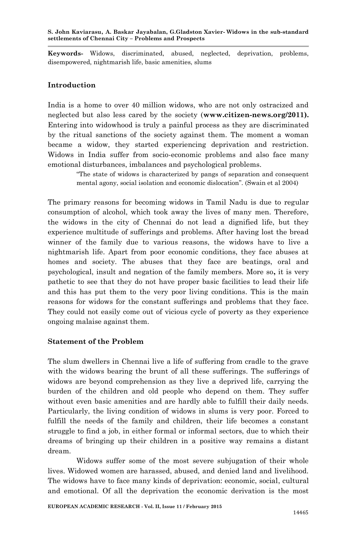**Keywords-** Widows, discriminated, abused, neglected, deprivation, problems, disempowered, nightmarish life, basic amenities, slums

#### **Introduction**

India is a home to over 40 million widows, who are not only ostracized and neglected but also less cared by the society (**www.citizen-news.org/2011).**  Entering into widowhood is truly a painful process as they are discriminated by the ritual sanctions of the society against them. The moment a woman became a widow, they started experiencing deprivation and restriction. Widows in India suffer from socio-economic problems and also face many emotional disturbances, imbalances and psychological problems.

> "The state of widows is characterized by pangs of separation and consequent mental agony, social isolation and economic dislocation". (Swain et al 2004)

The primary reasons for becoming widows in Tamil Nadu is due to regular consumption of alcohol, which took away the lives of many men. Therefore, the widows in the city of Chennai do not lead a dignified life, but they experience multitude of sufferings and problems. After having lost the bread winner of the family due to various reasons, the widows have to live a nightmarish life. Apart from poor economic conditions, they face abuses at homes and society. The abuses that they face are beatings, oral and psychological, insult and negation of the family members. More so**,** it is very pathetic to see that they do not have proper basic facilities to lead their life and this has put them to the very poor living conditions. This is the main reasons for widows for the constant sufferings and problems that they face. They could not easily come out of vicious cycle of poverty as they experience ongoing malaise against them.

#### **Statement of the Problem**

The slum dwellers in Chennai live a life of suffering from cradle to the grave with the widows bearing the brunt of all these sufferings. The sufferings of widows are beyond comprehension as they live a deprived life, carrying the burden of the children and old people who depend on them. They suffer without even basic amenities and are hardly able to fulfill their daily needs. Particularly, the living condition of widows in slums is very poor. Forced to fulfill the needs of the family and children, their life becomes a constant struggle to find a job, in either formal or informal sectors, due to which their dreams of bringing up their children in a positive way remains a distant dream.

Widows suffer some of the most severe subjugation of their whole lives. Widowed women are harassed, abused, and denied land and livelihood. The widows have to face many kinds of deprivation: economic, social, cultural and emotional. Of all the deprivation the economic derivation is the most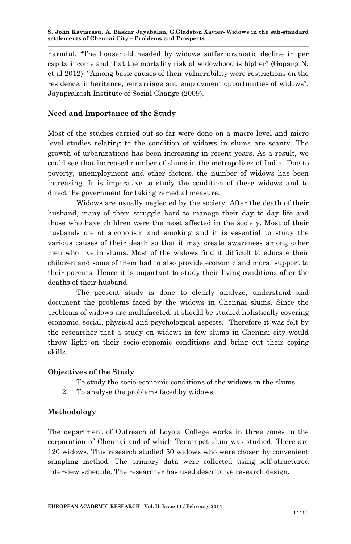**S. John Kaviarasu, A. Baskar Jayabalan, G.Gladston Xavier- Widows in the sub-standard settlements of Chennai City – Problems and Prospects**

harmful. "The household headed by widows suffer dramatic decline in per capita income and that the mortality risk of widowhood is higher" (Gopang.N, et al 2012). "Among basic causes of their vulnerability were restrictions on the residence, inheritance, remarriage and employment opportunities of widows". Jayaprakash Institute of Social Change (2009).

# **Need and Importance of the Study**

Most of the studies carried out so far were done on a macro level and micro level studies relating to the condition of widows in slums are scanty. The growth of urbanizations has been increasing in recent years. As a result, we could see that increased number of slums in the metropolises of India. Due to poverty, unemployment and other factors, the number of widows has been increasing. It is imperative to study the condition of these widows and to direct the government for taking remedial measure.

Widows are usually neglected by the society. After the death of their husband, many of them struggle hard to manage their day to day life and those who have children were the most affected in the society. Most of their husbands die of alcoholism and smoking and it is essential to study the various causes of their death so that it may create awareness among other men who live in slums. Most of the widows find it difficult to educate their children and some of them had to also provide economic and moral support to their parents. Hence it is important to study their living conditions after the deaths of their husband.

The present study is done to clearly analyze, understand and document the problems faced by the widows in Chennai slums. Since the problems of widows are multifaceted, it should be studied holistically covering economic, social, physical and psychological aspects. Therefore it was felt by the researcher that a study on widows in few slums in Chennai city would throw light on their socio-economic conditions and bring out their coping skills.

#### **Objectives of the Study**

- 1. To study the socio-economic conditions of the widows in the slums.
- 2. To analyse the problems faced by widows

#### **Methodology**

The department of Outreach of Loyola College works in three zones in the corporation of Chennai and of which Tenampet slum was studied. There are 120 widows. This research studied 50 widows who were chosen by convenient sampling method. The primary data were collected using self-structured interview schedule. The researcher has used descriptive research design.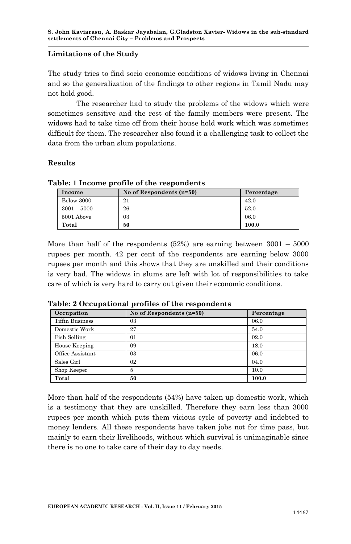#### **Limitations of the Study**

The study tries to find socio economic conditions of widows living in Chennai and so the generalization of the findings to other regions in Tamil Nadu may not hold good.

The researcher had to study the problems of the widows which were sometimes sensitive and the rest of the family members were present. The widows had to take time off from their house hold work which was sometimes difficult for them. The researcher also found it a challenging task to collect the data from the urban slum populations.

# **Results**

| Income        | No of Respondents $(n=50)$ | Percentage |
|---------------|----------------------------|------------|
| Below 3000    | 21                         | 42.0       |
| $3001 - 5000$ | 26                         | 52.0       |
| 5001 Above    | 03                         | 06.0       |
| Total         | 50                         | 100.0      |

**Table: 1 Income profile of the respondents**

More than half of the respondents  $(52%)$  are earning between  $3001 - 5000$ rupees per month. 42 per cent of the respondents are earning below 3000 rupees per month and this shows that they are unskilled and their conditions is very bad. The widows in slums are left with lot of responsibilities to take care of which is very hard to carry out given their economic conditions.

| Occupation             | No of Respondents (n=50) | Percentage |
|------------------------|--------------------------|------------|
| <b>Tiffin Business</b> | 03                       | 06.0       |
| Domestic Work          | 27                       | 54.0       |
| Fish Selling           | 01                       | 02.0       |
| House Keeping          | 09                       | 18.0       |
| Office Assistant       | 03                       | 06.0       |
| Sales Girl             | 02                       | 04.0       |
| Shop Keeper            | 5                        | 10.0       |
| Total                  | 50                       | 100.0      |

**Table: 2 Occupational profiles of the respondents** 

More than half of the respondents (54%) have taken up domestic work, which is a testimony that they are unskilled. Therefore they earn less than 3000 rupees per month which puts them vicious cycle of poverty and indebted to money lenders. All these respondents have taken jobs not for time pass, but mainly to earn their livelihoods, without which survival is unimaginable since there is no one to take care of their day to day needs.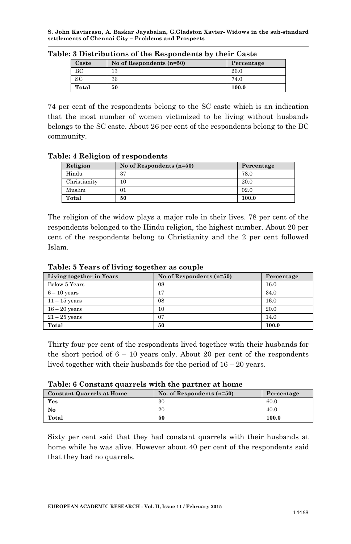**S. John Kaviarasu, A. Baskar Jayabalan, G.Gladston Xavier- Widows in the sub-standard settlements of Chennai City – Problems and Prospects**

| Caste | No of Respondents (n=50) | Percentage |
|-------|--------------------------|------------|
| ВC    | 13                       | 26.0       |
| SC    | 36                       | 74.0       |
| Total | 50                       | 100.0      |

**Table: 3 Distributions of the Respondents by their Caste**

74 per cent of the respondents belong to the SC caste which is an indication that the most number of women victimized to be living without husbands belongs to the SC caste. About 26 per cent of the respondents belong to the BC community.

#### **Table: 4 Religion of respondents**

| Religion     | No of Respondents (n=50) | Percentage |
|--------------|--------------------------|------------|
| Hindu        | 37                       | 78.0       |
| Christianity | $_{10}$                  | 20.0       |
| Muslim       | 01                       | 02.0       |
| Total        | 50                       | 100.0      |

The religion of the widow plays a major role in their lives. 78 per cent of the respondents belonged to the Hindu religion, the highest number. About 20 per cent of the respondents belong to Christianity and the 2 per cent followed Islam.

**Table: 5 Years of living together as couple**

| Living together in Years | No of Respondents $(n=50)$ | Percentage |
|--------------------------|----------------------------|------------|
| Below 5 Years            | 08                         | 16.0       |
| $6 - 10$ years           | 17                         | 34.0       |
| $11 - 15$ years          | 08                         | 16.0       |
| $16 - 20$ years          | 10                         | 20.0       |
| $21 - 25$ years          | 07                         | 14.0       |
| Total                    | 50                         | 100.0      |

Thirty four per cent of the respondents lived together with their husbands for the short period of  $6 - 10$  years only. About 20 per cent of the respondents lived together with their husbands for the period of 16 – 20 years.

|  | Table: 6 Constant quarrels with the partner at home |  |  |  |  |
|--|-----------------------------------------------------|--|--|--|--|
|--|-----------------------------------------------------|--|--|--|--|

| <b>Constant Quarrels at Home</b> | No. of Respondents $(n=50)$ | Percentage |
|----------------------------------|-----------------------------|------------|
| Yes                              | 30                          | 60.0       |
| No                               | 20                          | 40.0       |
| Total                            | 50                          | 100.0      |

Sixty per cent said that they had constant quarrels with their husbands at home while he was alive. However about 40 per cent of the respondents said that they had no quarrels.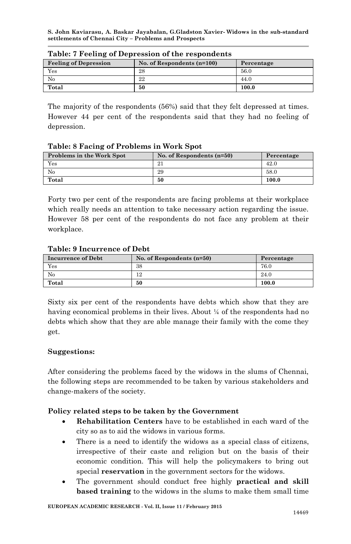**S. John Kaviarasu, A. Baskar Jayabalan, G.Gladston Xavier- Widows in the sub-standard settlements of Chennai City – Problems and Prospects**

| <b>Feeling of Depression</b> | No. of Respondents $(n=100)$ | Percentage |  |
|------------------------------|------------------------------|------------|--|
| Yes                          | 28                           | 56.0       |  |
| No                           | 22                           | 44.0       |  |
| Total                        | 50                           | 100.0      |  |

#### **Table: 7 Feeling of Depression of the respondents**

The majority of the respondents (56%) said that they felt depressed at times. However 44 per cent of the respondents said that they had no feeling of depression.

#### **Table: 8 Facing of Problems in Work Spot**

| Problems in the Work Spot | No. of Respondents $(n=50)$ | Percentage |
|---------------------------|-----------------------------|------------|
| Yes                       | 21                          | 42.0       |
| No                        | 29                          | 58.0       |
| Total                     | 50                          | 100.0      |

Forty two per cent of the respondents are facing problems at their workplace which really needs an attention to take necessary action regarding the issue. However 58 per cent of the respondents do not face any problem at their workplace.

#### **Table: 9 Incurrence of Debt**

| Incurrence of Debt | No. of Respondents $(n=50)$ | Percentage |
|--------------------|-----------------------------|------------|
| Yes                | 38                          | 76.0       |
| No                 | 12                          | 24.0       |
| Total              | 50                          | 100.0      |

Sixty six per cent of the respondents have debts which show that they are having economical problems in their lives. About  $\frac{1}{4}$  of the respondents had no debts which show that they are able manage their family with the come they get.

# **Suggestions:**

After considering the problems faced by the widows in the slums of Chennai, the following steps are recommended to be taken by various stakeholders and change-makers of the society.

# **Policy related steps to be taken by the Government**

- **Rehabilitation Centers** have to be established in each ward of the city so as to aid the widows in various forms.
- There is a need to identify the widows as a special class of citizens, irrespective of their caste and religion but on the basis of their economic condition. This will help the policymakers to bring out special **reservation** in the government sectors for the widows.
- The government should conduct free highly **practical and skill based training** to the widows in the slums to make them small time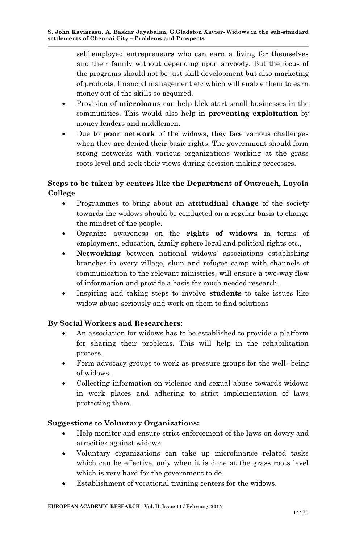self employed entrepreneurs who can earn a living for themselves and their family without depending upon anybody. But the focus of the programs should not be just skill development but also marketing of products, financial management etc which will enable them to earn money out of the skills so acquired.

- Provision of **microloans** can help kick start small businesses in the communities. This would also help in **preventing exploitation** by money lenders and middlemen.
- Due to **poor network** of the widows, they face various challenges when they are denied their basic rights. The government should form strong networks with various organizations working at the grass roots level and seek their views during decision making processes.

# **Steps to be taken by centers like the Department of Outreach, Loyola College**

- Programmes to bring about an **attitudinal change** of the society towards the widows should be conducted on a regular basis to change the mindset of the people.
- Organize awareness on the **rights of widows** in terms of employment, education, family sphere legal and political rights etc.,
- **Networking** between national widows' associations establishing branches in every village, slum and refugee camp with channels of communication to the relevant ministries, will ensure a two-way flow of information and provide a basis for much needed research.
- Inspiring and taking steps to involve **students** to take issues like widow abuse seriously and work on them to find solutions

# **By Social Workers and Researchers:**

- An association for widows has to be established to provide a platform for sharing their problems. This will help in the rehabilitation process.
- Form advocacy groups to work as pressure groups for the well- being of widows.
- Collecting information on violence and sexual abuse towards widows in work places and adhering to strict implementation of laws protecting them.

# **Suggestions to Voluntary Organizations:**

- Help monitor and ensure strict enforcement of the laws on dowry and atrocities against widows.
- Voluntary organizations can take up microfinance related tasks which can be effective, only when it is done at the grass roots level which is very hard for the government to do.
- Establishment of vocational training centers for the widows.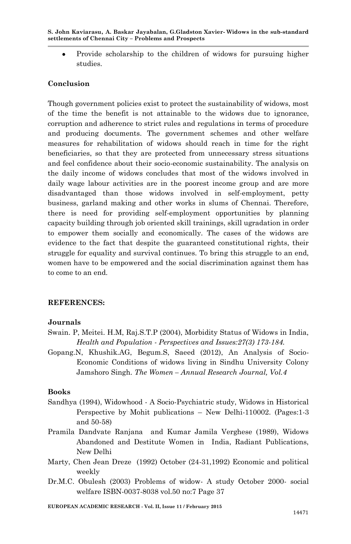Provide scholarship to the children of widows for pursuing higher studies.

# **Conclusion**

Though government policies exist to protect the sustainability of widows, most of the time the benefit is not attainable to the widows due to ignorance, corruption and adherence to strict rules and regulations in terms of procedure and producing documents. The government schemes and other welfare measures for rehabilitation of widows should reach in time for the right beneficiaries, so that they are protected from unnecessary stress situations and feel confidence about their socio-economic sustainability. The analysis on the daily income of widows concludes that most of the widows involved in daily wage labour activities are in the poorest income group and are more disadvantaged than those widows involved in self-employment, petty business, garland making and other works in slums of Chennai. Therefore, there is need for providing self-employment opportunities by planning capacity building through job oriented skill trainings, skill ugradation in order to empower them socially and economically. The cases of the widows are evidence to the fact that despite the guaranteed constitutional rights, their struggle for equality and survival continues. To bring this struggle to an end, women have to be empowered and the social discrimination against them has to come to an end.

# **REFERENCES:**

# **Journals**

- Swain. P, Meitei. H.M, Raj.S.T.P (2004), Morbidity Status of Widows in India, *Health and Population - Perspectives and Issues:27(3) 173-184.*
- Gopang.N, Khushik.AG, Begum.S, Saeed (2012), An Analysis of Socio-Economic Conditions of widows living in Sindhu University Colony Jamshoro Singh. *The Women – Annual Research Journal, Vol.4*

#### **Books**

- Sandhya (1994), Widowhood A Socio-Psychiatric study, Widows in Historical Perspective by Mohit publications – New Delhi-110002. (Pages:1-3 and 50-58)
- Pramila Dandvate Ranjana and Kumar Jamila Verghese (1989), Widows Abandoned and Destitute Women in India, Radiant Publications, New Delhi
- Marty, Chen Jean Dreze (1992) October (24-31,1992) Economic and political weekly
- Dr.M.C. Obulesh (2003) Problems of widow- A study October 2000- social welfare ISBN-0037-8038 vol.50 no:7 Page 37

**EUROPEAN ACADEMIC RESEARCH - Vol. II, Issue 11 / February 2015**